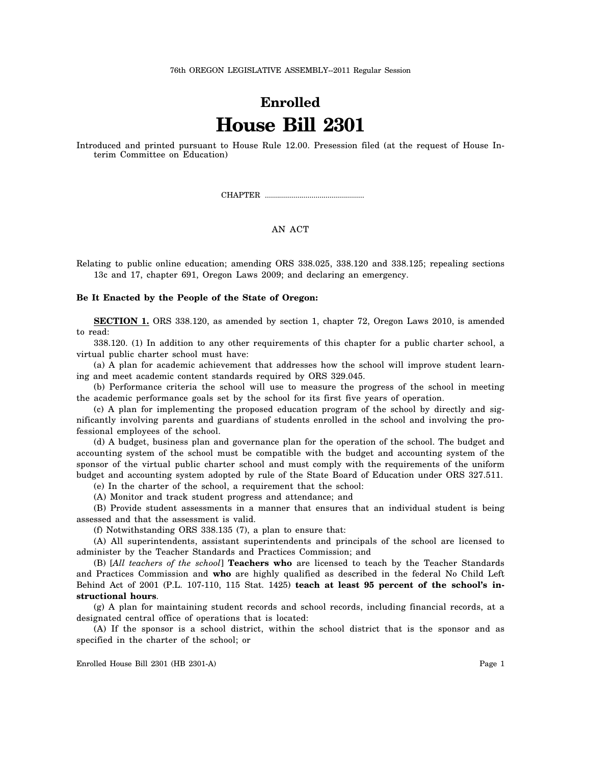76th OREGON LEGISLATIVE ASSEMBLY--2011 Regular Session

## **Enrolled House Bill 2301**

Introduced and printed pursuant to House Rule 12.00. Presession filed (at the request of House Interim Committee on Education)

CHAPTER .................................................

## AN ACT

Relating to public online education; amending ORS 338.025, 338.120 and 338.125; repealing sections 13c and 17, chapter 691, Oregon Laws 2009; and declaring an emergency.

## **Be It Enacted by the People of the State of Oregon:**

**SECTION 1.** ORS 338.120, as amended by section 1, chapter 72, Oregon Laws 2010, is amended to read:

338.120. (1) In addition to any other requirements of this chapter for a public charter school, a virtual public charter school must have:

(a) A plan for academic achievement that addresses how the school will improve student learning and meet academic content standards required by ORS 329.045.

(b) Performance criteria the school will use to measure the progress of the school in meeting the academic performance goals set by the school for its first five years of operation.

(c) A plan for implementing the proposed education program of the school by directly and significantly involving parents and guardians of students enrolled in the school and involving the professional employees of the school.

(d) A budget, business plan and governance plan for the operation of the school. The budget and accounting system of the school must be compatible with the budget and accounting system of the sponsor of the virtual public charter school and must comply with the requirements of the uniform budget and accounting system adopted by rule of the State Board of Education under ORS 327.511.

(e) In the charter of the school, a requirement that the school:

(A) Monitor and track student progress and attendance; and

(B) Provide student assessments in a manner that ensures that an individual student is being assessed and that the assessment is valid.

(f) Notwithstanding ORS 338.135 (7), a plan to ensure that:

(A) All superintendents, assistant superintendents and principals of the school are licensed to administer by the Teacher Standards and Practices Commission; and

(B) [*All teachers of the school*] **Teachers who** are licensed to teach by the Teacher Standards and Practices Commission and **who** are highly qualified as described in the federal No Child Left Behind Act of 2001 (P.L. 107-110, 115 Stat. 1425) **teach at least 95 percent of the school's instructional hours**.

(g) A plan for maintaining student records and school records, including financial records, at a designated central office of operations that is located:

(A) If the sponsor is a school district, within the school district that is the sponsor and as specified in the charter of the school; or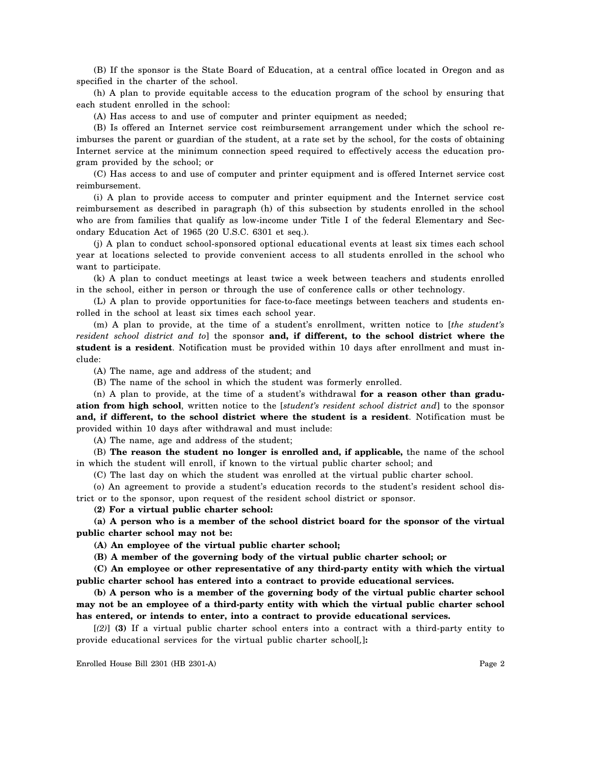(B) If the sponsor is the State Board of Education, at a central office located in Oregon and as specified in the charter of the school.

(h) A plan to provide equitable access to the education program of the school by ensuring that each student enrolled in the school:

(A) Has access to and use of computer and printer equipment as needed;

(B) Is offered an Internet service cost reimbursement arrangement under which the school reimburses the parent or guardian of the student, at a rate set by the school, for the costs of obtaining Internet service at the minimum connection speed required to effectively access the education program provided by the school; or

(C) Has access to and use of computer and printer equipment and is offered Internet service cost reimbursement.

(i) A plan to provide access to computer and printer equipment and the Internet service cost reimbursement as described in paragraph (h) of this subsection by students enrolled in the school who are from families that qualify as low-income under Title I of the federal Elementary and Secondary Education Act of 1965 (20 U.S.C. 6301 et seq.).

(j) A plan to conduct school-sponsored optional educational events at least six times each school year at locations selected to provide convenient access to all students enrolled in the school who want to participate.

(k) A plan to conduct meetings at least twice a week between teachers and students enrolled in the school, either in person or through the use of conference calls or other technology.

(L) A plan to provide opportunities for face-to-face meetings between teachers and students enrolled in the school at least six times each school year.

(m) A plan to provide, at the time of a student's enrollment, written notice to [*the student's resident school district and to*] the sponsor **and, if different, to the school district where the student is a resident**. Notification must be provided within 10 days after enrollment and must include:

(A) The name, age and address of the student; and

(B) The name of the school in which the student was formerly enrolled.

(n) A plan to provide, at the time of a student's withdrawal **for a reason other than graduation from high school**, written notice to the [*student's resident school district and*] to the sponsor **and, if different, to the school district where the student is a resident**. Notification must be provided within 10 days after withdrawal and must include:

(A) The name, age and address of the student;

(B) **The reason the student no longer is enrolled and, if applicable,** the name of the school in which the student will enroll, if known to the virtual public charter school; and

(C) The last day on which the student was enrolled at the virtual public charter school.

(o) An agreement to provide a student's education records to the student's resident school district or to the sponsor, upon request of the resident school district or sponsor.

**(2) For a virtual public charter school:**

**(a) A person who is a member of the school district board for the sponsor of the virtual public charter school may not be:**

**(A) An employee of the virtual public charter school;**

**(B) A member of the governing body of the virtual public charter school; or**

**(C) An employee or other representative of any third-party entity with which the virtual public charter school has entered into a contract to provide educational services.**

**(b) A person who is a member of the governing body of the virtual public charter school may not be an employee of a third-party entity with which the virtual public charter school has entered, or intends to enter, into a contract to provide educational services.**

[*(2)*] **(3)** If a virtual public charter school enters into a contract with a third-party entity to provide educational services for the virtual public charter school[*,*]**:**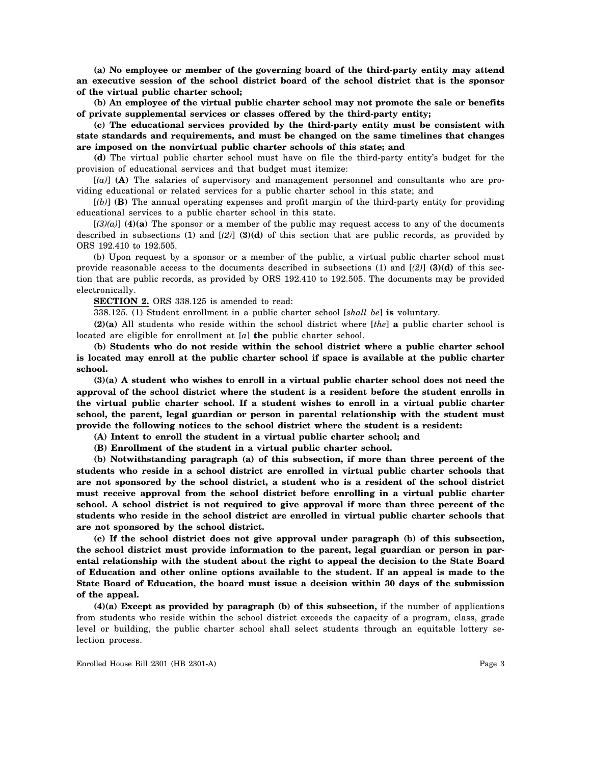**(a) No employee or member of the governing board of the third-party entity may attend an executive session of the school district board of the school district that is the sponsor of the virtual public charter school;**

**(b) An employee of the virtual public charter school may not promote the sale or benefits of private supplemental services or classes offered by the third-party entity;**

**(c) The educational services provided by the third-party entity must be consistent with state standards and requirements, and must be changed on the same timelines that changes are imposed on the nonvirtual public charter schools of this state; and**

**(d)** The virtual public charter school must have on file the third-party entity's budget for the provision of educational services and that budget must itemize:

[*(a)*] **(A)** The salaries of supervisory and management personnel and consultants who are providing educational or related services for a public charter school in this state; and

[*(b)*] **(B)** The annual operating expenses and profit margin of the third-party entity for providing educational services to a public charter school in this state.

 $[(3)(a)]$  **(4)(a)** The sponsor or a member of the public may request access to any of the documents described in subsections (1) and [*(2)*] **(3)(d)** of this section that are public records, as provided by ORS 192.410 to 192.505.

(b) Upon request by a sponsor or a member of the public, a virtual public charter school must provide reasonable access to the documents described in subsections (1) and [*(2)*] **(3)(d)** of this section that are public records, as provided by ORS 192.410 to 192.505. The documents may be provided electronically.

**SECTION 2.** ORS 338.125 is amended to read:

338.125. (1) Student enrollment in a public charter school [*shall be*] **is** voluntary.

**(2)(a)** All students who reside within the school district where [*the*] **a** public charter school is located are eligible for enrollment at [*a*] **the** public charter school.

**(b) Students who do not reside within the school district where a public charter school is located may enroll at the public charter school if space is available at the public charter school.**

**(3)(a) A student who wishes to enroll in a virtual public charter school does not need the approval of the school district where the student is a resident before the student enrolls in the virtual public charter school. If a student wishes to enroll in a virtual public charter school, the parent, legal guardian or person in parental relationship with the student must provide the following notices to the school district where the student is a resident:**

**(A) Intent to enroll the student in a virtual public charter school; and**

**(B) Enrollment of the student in a virtual public charter school.**

**(b) Notwithstanding paragraph (a) of this subsection, if more than three percent of the students who reside in a school district are enrolled in virtual public charter schools that are not sponsored by the school district, a student who is a resident of the school district must receive approval from the school district before enrolling in a virtual public charter school. A school district is not required to give approval if more than three percent of the students who reside in the school district are enrolled in virtual public charter schools that are not sponsored by the school district.**

**(c) If the school district does not give approval under paragraph (b) of this subsection, the school district must provide information to the parent, legal guardian or person in parental relationship with the student about the right to appeal the decision to the State Board of Education and other online options available to the student. If an appeal is made to the State Board of Education, the board must issue a decision within 30 days of the submission of the appeal.**

**(4)(a) Except as provided by paragraph (b) of this subsection,** if the number of applications from students who reside within the school district exceeds the capacity of a program, class, grade level or building, the public charter school shall select students through an equitable lottery selection process.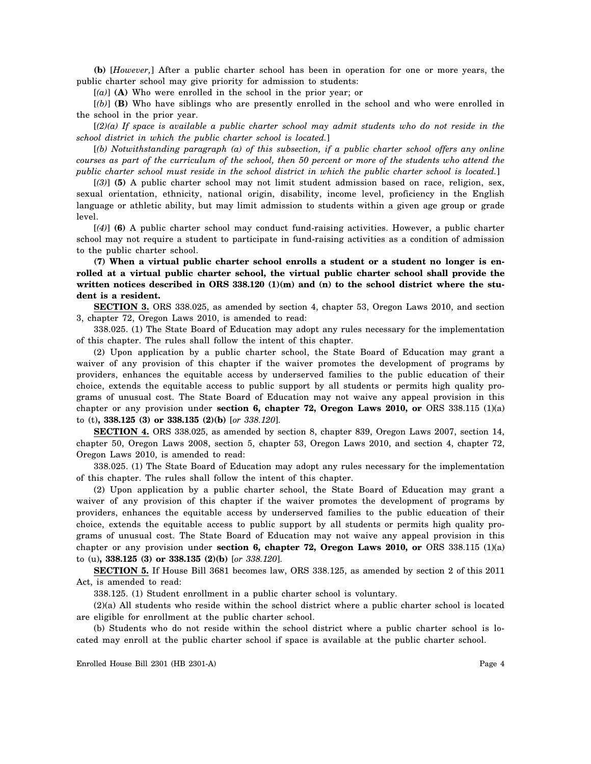**(b)** [*However,*] After a public charter school has been in operation for one or more years, the public charter school may give priority for admission to students:

[*(a)*] **(A)** Who were enrolled in the school in the prior year; or

[*(b)*] **(B)** Who have siblings who are presently enrolled in the school and who were enrolled in the school in the prior year.

[*(2)(a) If space is available a public charter school may admit students who do not reside in the school district in which the public charter school is located.*]

[*(b) Notwithstanding paragraph (a) of this subsection, if a public charter school offers any online courses as part of the curriculum of the school, then 50 percent or more of the students who attend the public charter school must reside in the school district in which the public charter school is located.*]

[*(3)*] **(5)** A public charter school may not limit student admission based on race, religion, sex, sexual orientation, ethnicity, national origin, disability, income level, proficiency in the English language or athletic ability, but may limit admission to students within a given age group or grade level.

[*(4)*] **(6)** A public charter school may conduct fund-raising activities. However, a public charter school may not require a student to participate in fund-raising activities as a condition of admission to the public charter school.

**(7) When a virtual public charter school enrolls a student or a student no longer is enrolled at a virtual public charter school, the virtual public charter school shall provide the** written notices described in ORS 338.120 (1)(m) and (n) to the school district where the stu**dent is a resident.**

**SECTION 3.** ORS 338.025, as amended by section 4, chapter 53, Oregon Laws 2010, and section 3, chapter 72, Oregon Laws 2010, is amended to read:

338.025. (1) The State Board of Education may adopt any rules necessary for the implementation of this chapter. The rules shall follow the intent of this chapter.

(2) Upon application by a public charter school, the State Board of Education may grant a waiver of any provision of this chapter if the waiver promotes the development of programs by providers, enhances the equitable access by underserved families to the public education of their choice, extends the equitable access to public support by all students or permits high quality programs of unusual cost. The State Board of Education may not waive any appeal provision in this chapter or any provision under **section 6, chapter 72, Oregon Laws 2010, or** ORS 338.115 (1)(a) to (t)**, 338.125 (3) or 338.135 (2)(b)** [*or 338.120*].

**SECTION 4.** ORS 338.025, as amended by section 8, chapter 839, Oregon Laws 2007, section 14, chapter 50, Oregon Laws 2008, section 5, chapter 53, Oregon Laws 2010, and section 4, chapter 72, Oregon Laws 2010, is amended to read:

338.025. (1) The State Board of Education may adopt any rules necessary for the implementation of this chapter. The rules shall follow the intent of this chapter.

(2) Upon application by a public charter school, the State Board of Education may grant a waiver of any provision of this chapter if the waiver promotes the development of programs by providers, enhances the equitable access by underserved families to the public education of their choice, extends the equitable access to public support by all students or permits high quality programs of unusual cost. The State Board of Education may not waive any appeal provision in this chapter or any provision under **section 6, chapter 72, Oregon Laws 2010, or** ORS 338.115 (1)(a) to (u)**, 338.125 (3) or 338.135 (2)(b)** [*or 338.120*].

**SECTION 5.** If House Bill 3681 becomes law, ORS 338.125, as amended by section 2 of this 2011 Act, is amended to read:

338.125. (1) Student enrollment in a public charter school is voluntary.

(2)(a) All students who reside within the school district where a public charter school is located are eligible for enrollment at the public charter school.

(b) Students who do not reside within the school district where a public charter school is located may enroll at the public charter school if space is available at the public charter school.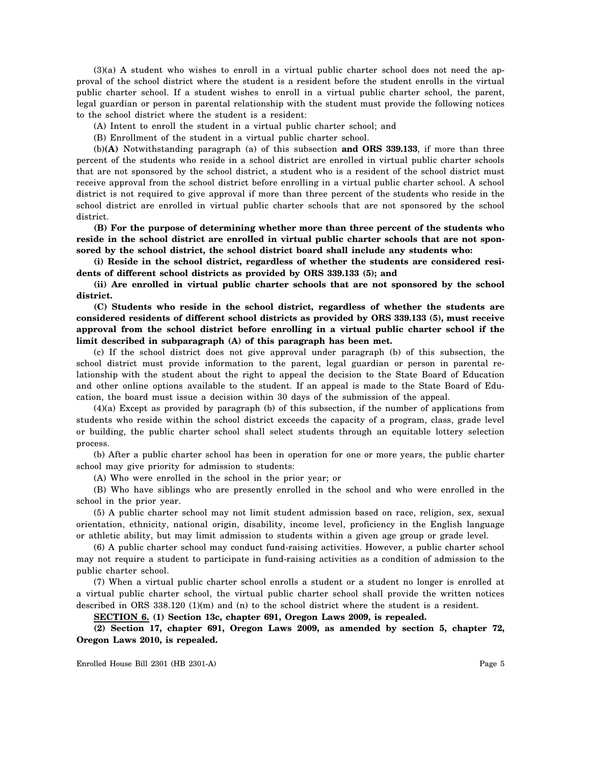(3)(a) A student who wishes to enroll in a virtual public charter school does not need the approval of the school district where the student is a resident before the student enrolls in the virtual public charter school. If a student wishes to enroll in a virtual public charter school, the parent, legal guardian or person in parental relationship with the student must provide the following notices to the school district where the student is a resident:

(A) Intent to enroll the student in a virtual public charter school; and

(B) Enrollment of the student in a virtual public charter school.

(b)**(A)** Notwithstanding paragraph (a) of this subsection **and ORS 339.133**, if more than three percent of the students who reside in a school district are enrolled in virtual public charter schools that are not sponsored by the school district, a student who is a resident of the school district must receive approval from the school district before enrolling in a virtual public charter school. A school district is not required to give approval if more than three percent of the students who reside in the school district are enrolled in virtual public charter schools that are not sponsored by the school district.

**(B) For the purpose of determining whether more than three percent of the students who reside in the school district are enrolled in virtual public charter schools that are not sponsored by the school district, the school district board shall include any students who:**

**(i) Reside in the school district, regardless of whether the students are considered residents of different school districts as provided by ORS 339.133 (5); and**

**(ii) Are enrolled in virtual public charter schools that are not sponsored by the school district.**

**(C) Students who reside in the school district, regardless of whether the students are considered residents of different school districts as provided by ORS 339.133 (5), must receive approval from the school district before enrolling in a virtual public charter school if the limit described in subparagraph (A) of this paragraph has been met.**

(c) If the school district does not give approval under paragraph (b) of this subsection, the school district must provide information to the parent, legal guardian or person in parental relationship with the student about the right to appeal the decision to the State Board of Education and other online options available to the student. If an appeal is made to the State Board of Education, the board must issue a decision within 30 days of the submission of the appeal.

(4)(a) Except as provided by paragraph (b) of this subsection, if the number of applications from students who reside within the school district exceeds the capacity of a program, class, grade level or building, the public charter school shall select students through an equitable lottery selection process.

(b) After a public charter school has been in operation for one or more years, the public charter school may give priority for admission to students:

(A) Who were enrolled in the school in the prior year; or

(B) Who have siblings who are presently enrolled in the school and who were enrolled in the school in the prior year.

(5) A public charter school may not limit student admission based on race, religion, sex, sexual orientation, ethnicity, national origin, disability, income level, proficiency in the English language or athletic ability, but may limit admission to students within a given age group or grade level.

(6) A public charter school may conduct fund-raising activities. However, a public charter school may not require a student to participate in fund-raising activities as a condition of admission to the public charter school.

(7) When a virtual public charter school enrolls a student or a student no longer is enrolled at a virtual public charter school, the virtual public charter school shall provide the written notices described in ORS 338.120 (1)(m) and (n) to the school district where the student is a resident.

**SECTION 6. (1) Section 13c, chapter 691, Oregon Laws 2009, is repealed.**

**(2) Section 17, chapter 691, Oregon Laws 2009, as amended by section 5, chapter 72, Oregon Laws 2010, is repealed.**